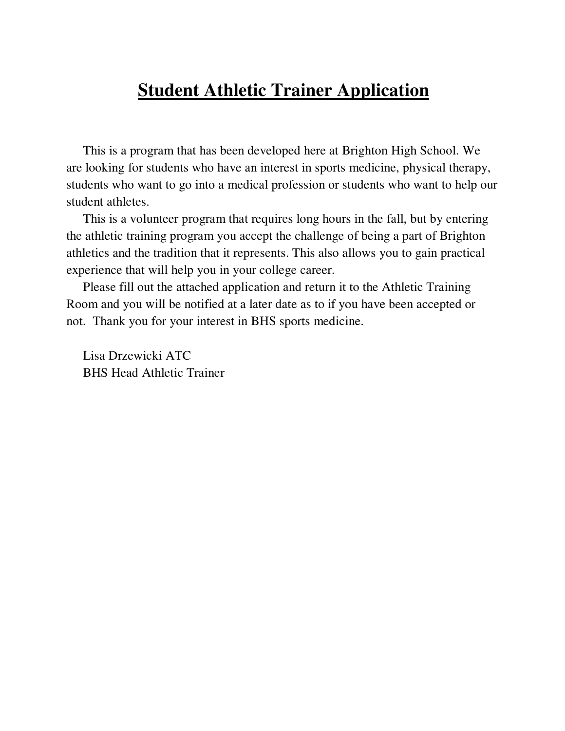## **Student Athletic Trainer Application**

This is a program that has been developed here at Brighton High School. We are looking for students who have an interest in sports medicine, physical therapy, students who want to go into a medical profession or students who want to help our student athletes.

This is a volunteer program that requires long hours in the fall, but by entering the athletic training program you accept the challenge of being a part of Brighton athletics and the tradition that it represents. This also allows you to gain practical experience that will help you in your college career.

Please fill out the attached application and return it to the Athletic Training Room and you will be notified at a later date as to if you have been accepted or not. Thank you for your interest in BHS sports medicine.

Lisa Drzewicki ATC BHS Head Athletic Trainer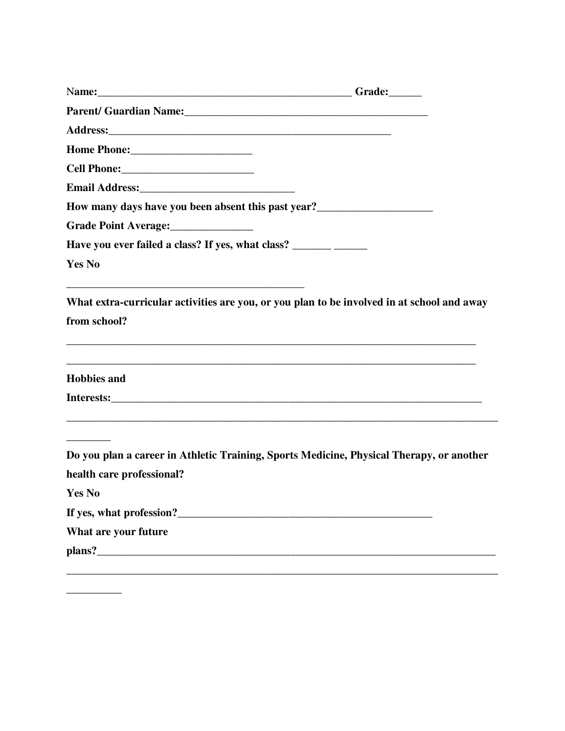| Parent/ Guardian Name: 1988 and 2008 and 2010 and 2010 and 2010 and 2010 and 2010 and 2010 and 2010 and 2010 and 2010 and 2010 and 2010 and 2010 and 2010 and 2010 and 2010 and 2010 and 2010 and 2010 and 2010 and 2010 and 2         |  |
|----------------------------------------------------------------------------------------------------------------------------------------------------------------------------------------------------------------------------------------|--|
|                                                                                                                                                                                                                                        |  |
|                                                                                                                                                                                                                                        |  |
|                                                                                                                                                                                                                                        |  |
|                                                                                                                                                                                                                                        |  |
| How many days have you been absent this past year?<br><u>Letting the subset of the subset of the subset of the subset of the subset of the subset of the subset of the subset of the subset of the subset of the subset of the sub</u> |  |
| Grade Point Average:                                                                                                                                                                                                                   |  |
|                                                                                                                                                                                                                                        |  |
| <b>Yes No</b>                                                                                                                                                                                                                          |  |
| What extra-curricular activities are you, or you plan to be involved in at school and away                                                                                                                                             |  |
| from school?                                                                                                                                                                                                                           |  |
| a se provincia de la construcción de la construcción de la construcción de la construcción de la construcción                                                                                                                          |  |
| <b>Hobbies</b> and                                                                                                                                                                                                                     |  |
|                                                                                                                                                                                                                                        |  |
|                                                                                                                                                                                                                                        |  |
| Do you plan a career in Athletic Training, Sports Medicine, Physical Therapy, or another                                                                                                                                               |  |
| health care professional?                                                                                                                                                                                                              |  |
| <b>Yes No</b>                                                                                                                                                                                                                          |  |
|                                                                                                                                                                                                                                        |  |
| What are your future                                                                                                                                                                                                                   |  |
|                                                                                                                                                                                                                                        |  |
|                                                                                                                                                                                                                                        |  |

**\_\_\_\_\_\_\_\_\_\_**